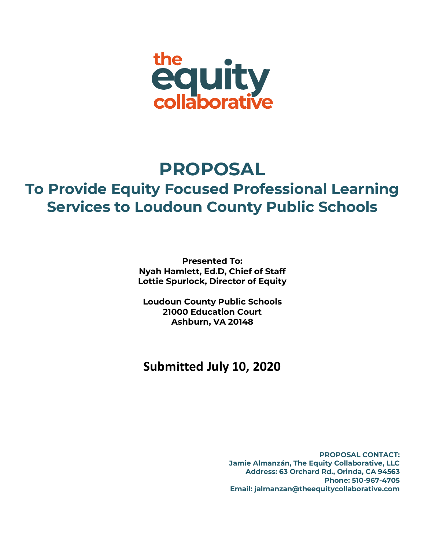

# **PROPOSAL To Provide Equity Focused Professional Learning Services to Loudoun County Public Schools**

**Presented To: Nyah Hamlett, Ed.D, Chief of Staff Lottie Spurlock, Director of Equity**

**Loudoun County Public Schools 21000 Education Court Ashburn, VA 20148**

# **Submitted July 10, 2020**

**PROPOSAL CONTACT: Jamie Almanzán, The Equity Collaborative, LLC Address: 63 Orchard Rd., Orinda, CA 94563 Phone: 510-967-4705 Email: jalmanzan@theequitycollaborative.com**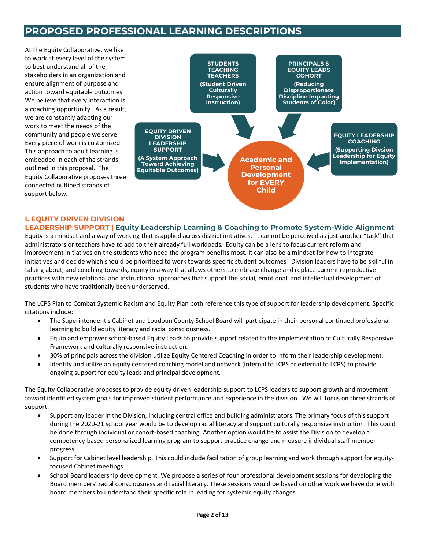# **PROPOSED PROFESSIONAL LEARNING DESCRIPTIONS**

At the Equity Collaborative, we like to work at every level of the system to best understand all of the stakeholders in an organization and ensure alignment of purpose and action toward equitable outcomes. We believe that every interaction is a coaching opportunity. As a result, we are constantly adapting our work to meet the needs of the community and people we serve. Every piece of work is customized. This approach to adult learning is embedded in each of the strands outlined in this proposal. The Equity Collaborative proposes three connected outlined strands of support below.



## **I. EQUITY DRIVEN DIVISION**

**LEADERSHIP SUPPORT | Equity Leadership Learning & Coaching to Promote System-Wide Alignment** Equity is a mindset and a way of working that is applied across district initiatives. It cannot be perceived as just another "task" that administrators or teachers have to add to their already full workloads. Equity can be a lens to focus current reform and improvement initiatives on the students who need the program benefits most. It can also be a mindset for how to integrate initiatives and decide which should be prioritized to work towards specific student outcomes. Division leaders have to be skillful in talking about, and coaching towards, equity in a way that allows others to embrace change and replace current reproductive practices with new relational and instructional approaches that support the social, emotional, and intellectual development of students who have traditionally been underserved.

The LCPS Plan to Combat Systemic Racism and Equity Plan both reference this type of support for leadership development. Specific citations include:

- The Superintendent's Cabinet and Loudoun County School Board will participate in their personal continued professional learning to build equity literacy and racial consciousness.
- Equip and empower school-based Equity Leads to provide support related to the implementation of Culturally Responsive Framework and culturally responsive instruction.
- 30% of principals across the division utilize Equity Centered Coaching in order to inform their leadership development.
- Identify and utilize an equity centered coaching model and network (internal to LCPS or external to LCPS) to provide ongoing support for equity leads and principal development.

The Equity Collaborative proposes to provide equity driven leadership support to LCPS leaders to support growth and movement toward identified system goals for improved student performance and experience in the division. We will focus on three strands of support:

- Support any leader in the Division, including central office and building administrators. The primary focus of this support during the 2020-21 school year would be to develop racial literacy and support culturally responsive instruction. This could be done through individual or cohort-based coaching. Another option would be to assist the Division to develop a competency-based personalized learning program to support practice change and measure individual staff member progress.
- Support for Cabinet level leadership. This could include facilitation of group learning and work through support for equityfocused Cabinet meetings.
- School Board leadership development. We propose a series of four professional development sessions for developing the Board members' racial consciousness and racial literacy. These sessions would be based on other work we have done with board members to understand their specific role in leading for systemic equity changes.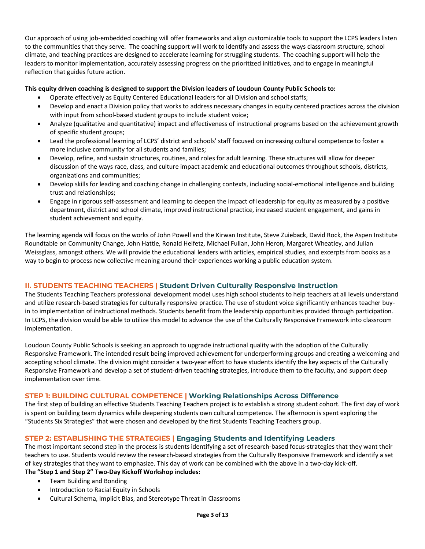Our approach of using job-embedded coaching will offer frameworks and align customizable tools to support the LCPS leaders listen to the communities that they serve. The coaching support will work to identify and assess the ways classroom structure, school climate, and teaching practices are designed to accelerate learning for struggling students. The coaching support will help the leaders to monitor implementation, accurately assessing progress on the prioritized initiatives, and to engage in meaningful reflection that guides future action.

#### **This equity driven coaching is designed to support the Division leaders of Loudoun County Public Schools to:**

- Operate effectively as Equity Centered Educational leaders for all Division and school staffs;
- Develop and enact a Division policy that works to address necessary changes in equity centered practices across the division with input from school-based student groups to include student voice;
- Analyze (qualitative and quantitative) impact and effectiveness of instructional programs based on the achievement growth of specific student groups;
- Lead the professional learning of LCPS' district and schools' staff focused on increasing cultural competence to foster a more inclusive community for all students and families;
- Develop, refine, and sustain structures, routines, and roles for adult learning. These structures will allow for deeper discussion of the ways race, class, and culture impact academic and educational outcomes throughout schools, districts, organizations and communities;
- Develop skills for leading and coaching change in challenging contexts, including social-emotional intelligence and building trust and relationships;
- Engage in rigorous self-assessment and learning to deepen the impact of leadership for equity as measured by a positive department, district and school climate, improved instructional practice, increased student engagement, and gains in student achievement and equity.

The learning agenda will focus on the works of John Powell and the Kirwan Institute, Steve Zuieback, David Rock, the Aspen Institute Roundtable on Community Change, John Hattie, Ronald Heifetz, Michael Fullan, John Heron, Margaret Wheatley, and Julian Weissglass, amongst others. We will provide the educational leaders with articles, empirical studies, and excerpts from books as a way to begin to process new collective meaning around their experiences working a public education system.

### **II. STUDENTS TEACHING TEACHERS | Student Driven Culturally Responsive Instruction**

The Students Teaching Teachers professional development model uses high school students to help teachers at all levels understand and utilize research-based strategies for culturally responsive practice. The use of student voice significantly enhances teacher buyin to implementation of instructional methods. Students benefit from the leadership opportunities provided through participation. In LCPS, the division would be able to utilize this model to advance the use of the Culturally Responsive Framework into classroom implementation.

Loudoun County Public Schools is seeking an approach to upgrade instructional quality with the adoption of the Culturally Responsive Framework. The intended result being improved achievement for underperforming groups and creating a welcoming and accepting school climate. The division might consider a two-year effort to have students identify the key aspects of the Culturally Responsive Framework and develop a set of student-driven teaching strategies, introduce them to the faculty, and support deep implementation over time.

### **STEP 1: BUILDING CULTURAL COMPETENCE | Working Relationships Across Difference**

The first step of building an effective Students Teaching Teachers project is to establish a strong student cohort. The first day of work is spent on building team dynamics while deepening students own cultural competence. The afternoon is spent exploring the "Students Six Strategies" that were chosen and developed by the first Students Teaching Teachers group.

#### **STEP 2: ESTABLISHING THE STRATEGIES | Engaging Students and Identifying Leaders**

The most important second step in the process is students identifying a set of research-based focus-strategies that they want their teachers to use. Students would review the research-based strategies from the Culturally Responsive Framework and identify a set of key strategies that they want to emphasize. This day of work can be combined with the above in a two-day kick-off. **The "Step 1 and Step 2" Two-Day Kickoff Workshop includes:**

- Team Building and Bonding
- Introduction to Racial Equity in Schools
- Cultural Schema, Implicit Bias, and Stereotype Threat in Classrooms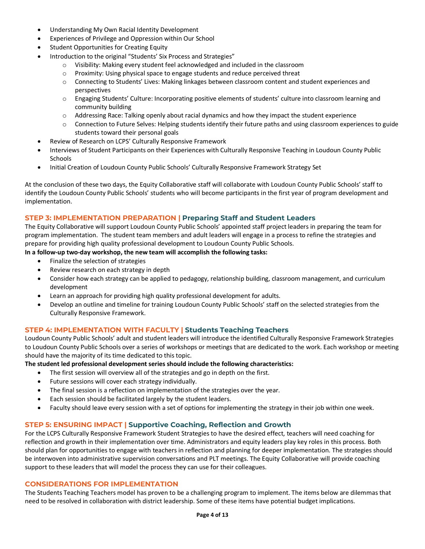- Understanding My Own Racial Identity Development
- Experiences of Privilege and Oppression within Our School
- Student Opportunities for Creating Equity
- Introduction to the original "Students' Six Process and Strategies"
	- o Visibility: Making every student feel acknowledged and included in the classroom
	- $\circ$  Proximity: Using physical space to engage students and reduce perceived threat
	- o Connecting to Students' Lives: Making linkages between classroom content and student experiences and perspectives
	- o Engaging Students' Culture: Incorporating positive elements of students' culture into classroom learning and community building
	- o Addressing Race: Talking openly about racial dynamics and how they impact the student experience
	- o Connection to Future Selves: Helping students identify their future paths and using classroom experiences to guide students toward their personal goals
- Review of Research on LCPS' Culturally Responsive Framework
- Interviews of Student Participants on their Experiences with Culturally Responsive Teaching in Loudoun County Public **Schools**
- Initial Creation of Loudoun County Public Schools' Culturally Responsive Framework Strategy Set

At the conclusion of these two days, the Equity Collaborative staff will collaborate with Loudoun County Public Schools' staff to identify the Loudoun County Public Schools' students who will become participants in the first year of program development and implementation.

#### **STEP 3: IMPLEMENTATION PREPARATION | Preparing Staff and Student Leaders**

The Equity Collaborative will support Loudoun County Public Schools' appointed staff project leaders in preparing the team for program implementation. The student team members and adult leaders will engage in a process to refine the strategies and prepare for providing high quality professional development to Loudoun County Public Schools.

- **In a follow-up two-day workshop, the new team will accomplish the following tasks:**
	- Finalize the selection of strategies
	- Review research on each strategy in depth
	- Consider how each strategy can be applied to pedagogy, relationship building, classroom management, and curriculum development
	- Learn an approach for providing high quality professional development for adults.
	- Develop an outline and timeline for training Loudoun County Public Schools' staff on the selected strategies from the Culturally Responsive Framework.

#### **STEP 4: IMPLEMENTATION WITH FACULTY | Students Teaching Teachers**

Loudoun County Public Schools' adult and student leaders will introduce the identified Culturally Responsive Framework Strategies to Loudoun County Public Schools over a series of workshops or meetings that are dedicated to the work. Each workshop or meeting should have the majority of its time dedicated to this topic.

#### **The student led professional development series should include the following characteristics:**

- The first session will overview all of the strategies and go in depth on the first.
- Future sessions will cover each strategy individually.
- The final session is a reflection on implementation of the strategies over the year.
- Each session should be facilitated largely by the student leaders.
- Faculty should leave every session with a set of options for implementing the strategy in their job within one week.

#### **STEP 5: ENSURING IMPACT | Supportive Coaching, Reflection and Growth**

For the LCPS Culturally Responsive Framework Student Strategies to have the desired effect, teachers will need coaching for reflection and growth in their implementation over time. Administrators and equity leaders play key roles in this process. Both should plan for opportunities to engage with teachers in reflection and planning for deeper implementation. The strategies should be interwoven into administrative supervision conversations and PLT meetings. The Equity Collaborative will provide coaching support to these leaders that will model the process they can use for their colleagues.

#### **CONSIDERATIONS FOR IMPLEMENTATION**

The Students Teaching Teachers model has proven to be a challenging program to implement. The items below are dilemmas that need to be resolved in collaboration with district leadership. Some of these items have potential budget implications.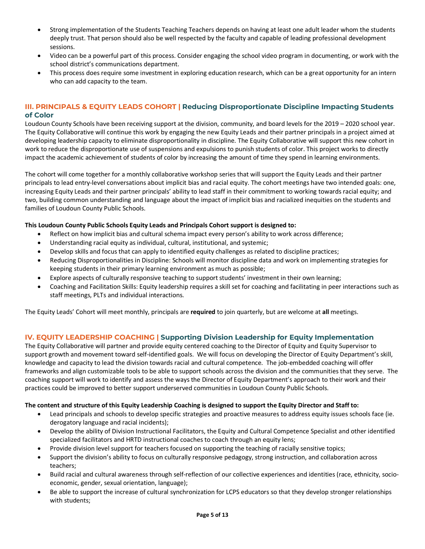- Strong implementation of the Students Teaching Teachers depends on having at least one adult leader whom the students deeply trust. That person should also be well respected by the faculty and capable of leading professional development sessions.
- Video can be a powerful part of this process. Consider engaging the school video program in documenting, or work with the school district's communications department.
- This process does require some investment in exploring education research, which can be a great opportunity for an intern who can add capacity to the team.

#### **III. PRINCIPALS & EQUITY LEADS COHORT | Reducing Disproportionate Discipline Impacting Students of Color**

Loudoun County Schools have been receiving support at the division, community, and board levels for the 2019 – 2020 school year. The Equity Collaborative will continue this work by engaging the new Equity Leads and their partner principals in a project aimed at developing leadership capacity to eliminate disproportionality in discipline. The Equity Collaborative will support this new cohort in work to reduce the disproportionate use of suspensions and expulsions to punish students of color. This project works to directly impact the academic achievement of students of color by increasing the amount of time they spend in learning environments.

The cohort will come together for a monthly collaborative workshop series that will support the Equity Leads and their partner principals to lead entry-level conversations about implicit bias and racial equity. The cohort meetings have two intended goals: one, increasing Equity Leads and their partner principals' ability to lead staff in their commitment to working towards racial equity; and two, building common understanding and language about the impact of implicit bias and racialized inequities on the students and families of Loudoun County Public Schools.

#### **This Loudoun County Public Schools Equity Leads and Principals Cohort support is designed to:**

- Reflect on how implicit bias and cultural schema impact every person's ability to work across difference;
- Understanding racial equity as individual, cultural, institutional, and systemic;
- Develop skills and focus that can apply to identified equity challenges as related to discipline practices;
- Reducing Disproportionalities in Discipline: Schools will monitor discipline data and work on implementing strategies for keeping students in their primary learning environment as much as possible;
- Explore aspects of culturally responsive teaching to support students' investment in their own learning;
- Coaching and Facilitation Skills: Equity leadership requires a skill set for coaching and facilitating in peer interactions such as staff meetings, PLTs and individual interactions.

The Equity Leads' Cohort will meet monthly, principals are **required** to join quarterly, but are welcome at **all** meetings.

#### **IV. EQUITY LEADERSHIP COACHING | Supporting Division Leadership for Equity Implementation**

The Equity Collaborative will partner and provide equity centered coaching to the Director of Equity and Equity Supervisor to support growth and movement toward self-identified goals. We will focus on developing the Director of Equity Department's skill, knowledge and capacity to lead the division towards racial and cultural competence. The job-embedded coaching will offer frameworks and align customizable tools to be able to support schools across the division and the communities that they serve. The coaching support will work to identify and assess the ways the Director of Equity Department's approach to their work and their practices could be improved to better support underserved communities in Loudoun County Public Schools.

#### **The content and structure of this Equity Leadership Coaching is designed to support the Equity Director and Staff to:**

- Lead principals and schools to develop specific strategies and proactive measures to address equity issues schools face (ie. derogatory language and racial incidents);
- Develop the ability of Division Instructional Facilitators, the Equity and Cultural Competence Specialist and other identified specialized facilitators and HRTD instructional coaches to coach through an equity lens;
- Provide division level support for teachers focused on supporting the teaching of racially sensitive topics;
- Support the division's ability to focus on culturally responsive pedagogy, strong instruction, and collaboration across teachers;
- Build racial and cultural awareness through self-reflection of our collective experiences and identities (race, ethnicity, socioeconomic, gender, sexual orientation, language);
- Be able to support the increase of cultural synchronization for LCPS educators so that they develop stronger relationships with students;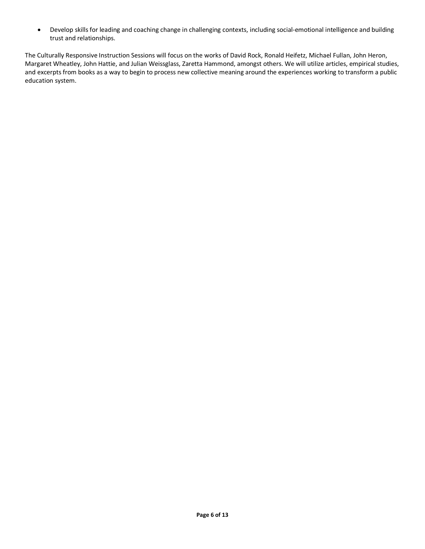• Develop skills for leading and coaching change in challenging contexts, including social-emotional intelligence and building trust and relationships.

The Culturally Responsive Instruction Sessions will focus on the works of David Rock, Ronald Heifetz, Michael Fullan, John Heron, Margaret Wheatley, John Hattie, and Julian Weissglass, Zaretta Hammond, amongst others. We will utilize articles, empirical studies, and excerpts from books as a way to begin to process new collective meaning around the experiences working to transform a public education system.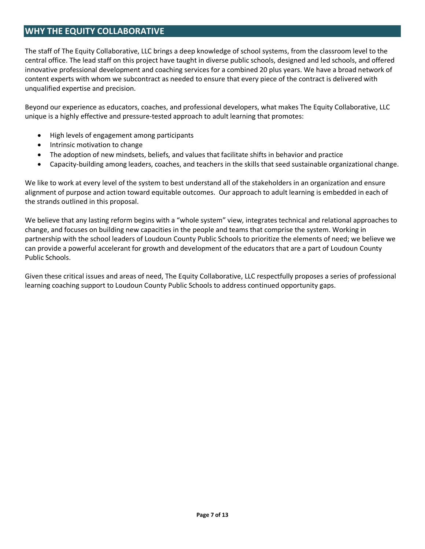# **WHY THE EQUITY COLLABORATIVE**

The staff of The Equity Collaborative, LLC brings a deep knowledge of school systems, from the classroom level to the central office. The lead staff on this project have taught in diverse public schools, designed and led schools, and offered innovative professional development and coaching services for a combined 20 plus years. We have a broad network of content experts with whom we subcontract as needed to ensure that every piece of the contract is delivered with unqualified expertise and precision.

Beyond our experience as educators, coaches, and professional developers, what makes The Equity Collaborative, LLC unique is a highly effective and pressure-tested approach to adult learning that promotes:

- High levels of engagement among participants
- Intrinsic motivation to change
- The adoption of new mindsets, beliefs, and values that facilitate shifts in behavior and practice
- Capacity-building among leaders, coaches, and teachers in the skills that seed sustainable organizational change.

We like to work at every level of the system to best understand all of the stakeholders in an organization and ensure alignment of purpose and action toward equitable outcomes.Our approach to adult learning is embedded in each of the strands outlined in this proposal.

We believe that any lasting reform begins with a "whole system" view, integrates technical and relational approaches to change, and focuses on building new capacities in the people and teams that comprise the system. Working in partnership with the school leaders of Loudoun County Public Schools to prioritize the elements of need; we believe we can provide a powerful accelerant for growth and development of the educators that are a part of Loudoun County Public Schools.

Given these critical issues and areas of need, The Equity Collaborative, LLC respectfully proposes a series of professional learning coaching support to Loudoun County Public Schools to address continued opportunity gaps.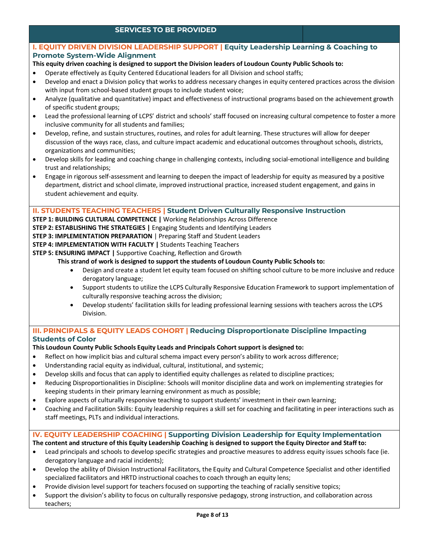#### **SERVICES TO BE PROVIDED**

#### **I. EQUITY DRIVEN DIVISION LEADERSHIP SUPPORT | Equity Leadership Learning & Coaching to Promote System-Wide Alignment**

- **This equity driven coaching is designed to support the Division leaders of Loudoun County Public Schools to:**
- Operate effectively as Equity Centered Educational leaders for all Division and school staffs;
- Develop and enact a Division policy that works to address necessary changes in equity centered practices across the division with input from school-based student groups to include student voice;
- Analyze (qualitative and quantitative) impact and effectiveness of instructional programs based on the achievement growth of specific student groups;
- Lead the professional learning of LCPS' district and schools' staff focused on increasing cultural competence to foster a more inclusive community for all students and families;
- Develop, refine, and sustain structures, routines, and roles for adult learning. These structures will allow for deeper discussion of the ways race, class, and culture impact academic and educational outcomes throughout schools, districts, organizations and communities;
- Develop skills for leading and coaching change in challenging contexts, including social-emotional intelligence and building trust and relationships;
- Engage in rigorous self-assessment and learning to deepen the impact of leadership for equity as measured by a positive department, district and school climate, improved instructional practice, increased student engagement, and gains in student achievement and equity.

#### **II. STUDENTS TEACHING TEACHERS | Student Driven Culturally Responsive Instruction**

- **STEP 1: BUILDING CULTURAL COMPETENCE |** Working Relationships Across Difference
- **STEP 2: ESTABLISHING THE STRATEGIES |** Engaging Students and Identifying Leaders
- **STEP 3: IMPLEMENTATION PREPARATION** | Preparing Staff and Student Leaders
- **STEP 4: IMPLEMENTATION WITH FACULTY |** Students Teaching Teachers
- **STEP 5: ENSURING IMPACT |** Supportive Coaching, Reflection and Growth
	- **This strand of work is designed to support the students of Loudoun County Public Schools to:**
		- Design and create a student let equity team focused on shifting school culture to be more inclusive and reduce derogatory language;
		- Support students to utilize the LCPS Culturally Responsive Education Framework to support implementation of culturally responsive teaching across the division;
		- Develop students' facilitation skills for leading professional learning sessions with teachers across the LCPS Division.

#### **III. PRINCIPALS & EQUITY LEADS COHORT | Reducing Disproportionate Discipline Impacting Students of Color**

#### **This Loudoun County Public Schools Equity Leads and Principals Cohort support is designed to:**

- Reflect on how implicit bias and cultural schema impact every person's ability to work across difference;
- Understanding racial equity as individual, cultural, institutional, and systemic;
- Develop skills and focus that can apply to identified equity challenges as related to discipline practices;
- Reducing Disproportionalities in Discipline: Schools will monitor discipline data and work on implementing strategies for keeping students in their primary learning environment as much as possible;
- Explore aspects of culturally responsive teaching to support students' investment in their own learning;
- Coaching and Facilitation Skills: Equity leadership requires a skill set for coaching and facilitating in peer interactions such as staff meetings, PLTs and individual interactions.

## **IV. EQUITY LEADERSHIP COACHING | Supporting Division Leadership for Equity Implementation**

**The content and structure of this Equity Leadership Coaching is designed to support the Equity Director and Staff to:**

- Lead principals and schools to develop specific strategies and proactive measures to address equity issues schools face (ie. derogatory language and racial incidents);
- Develop the ability of Division Instructional Facilitators, the Equity and Cultural Competence Specialist and other identified specialized facilitators and HRTD instructional coaches to coach through an equity lens;
- Provide division level support for teachers focused on supporting the teaching of racially sensitive topics;
- Support the division's ability to focus on culturally responsive pedagogy, strong instruction, and collaboration across teachers;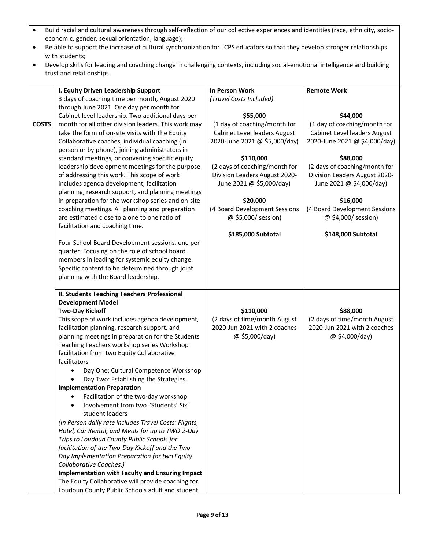| Build racial and cultural awareness through self-reflection of our collective experiences and identities (race, ethnicity, socio- |
|-----------------------------------------------------------------------------------------------------------------------------------|
| economic, gender, sexual orientation, language);                                                                                  |

- Be able to support the increase of cultural synchronization for LCPS educators so that they develop stronger relationships with students;
- Develop skills for leading and coaching change in challenging contexts, including social-emotional intelligence and building trust and relationships.

|              |                                                                                            | <b>In Person Work</b>         | <b>Remote Work</b>            |
|--------------|--------------------------------------------------------------------------------------------|-------------------------------|-------------------------------|
|              | I. Equity Driven Leadership Support                                                        |                               |                               |
|              | 3 days of coaching time per month, August 2020<br>through June 2021. One day per month for | (Travel Costs Included)       |                               |
|              | Cabinet level leadership. Two additional days per                                          | \$55,000                      | \$44,000                      |
| <b>COSTS</b> | month for all other division leaders. This work may                                        | (1 day of coaching/month for  | (1 day of coaching/month for  |
|              | take the form of on-site visits with The Equity                                            | Cabinet Level leaders August  | Cabinet Level leaders August  |
|              | Collaborative coaches, individual coaching (in                                             | 2020-June 2021 @ \$5,000/day) | 2020-June 2021 @ \$4,000/day) |
|              | person or by phone), joining administrators in                                             |                               |                               |
|              | standard meetings, or convening specific equity                                            | \$110,000                     | \$88,000                      |
|              | leadership development meetings for the purpose                                            | (2 days of coaching/month for | (2 days of coaching/month for |
|              | of addressing this work. This scope of work                                                | Division Leaders August 2020- | Division Leaders August 2020- |
|              | includes agenda development, facilitation                                                  | June 2021 @ \$5,000/day)      | June 2021 @ \$4,000/day)      |
|              | planning, research support, and planning meetings                                          |                               |                               |
|              | in preparation for the workshop series and on-site                                         | \$20,000                      | \$16,000                      |
|              | coaching meetings. All planning and preparation                                            | (4 Board Development Sessions | (4 Board Development Sessions |
|              | are estimated close to a one to one ratio of                                               | @ \$5,000/ session)           | @ \$4,000/ session)           |
|              | facilitation and coaching time.                                                            |                               |                               |
|              |                                                                                            | \$185,000 Subtotal            | \$148,000 Subtotal            |
|              | Four School Board Development sessions, one per                                            |                               |                               |
|              | quarter. Focusing on the role of school board                                              |                               |                               |
|              | members in leading for systemic equity change.                                             |                               |                               |
|              | Specific content to be determined through joint                                            |                               |                               |
|              | planning with the Board leadership.                                                        |                               |                               |
|              |                                                                                            |                               |                               |
|              | II. Students Teaching Teachers Professional                                                |                               |                               |
|              | <b>Development Model</b>                                                                   |                               |                               |
|              | <b>Two-Day Kickoff</b>                                                                     | \$110,000                     | \$88,000                      |
|              | This scope of work includes agenda development,                                            | (2 days of time/month August  | (2 days of time/month August  |
|              | facilitation planning, research support, and                                               | 2020-Jun 2021 with 2 coaches  | 2020-Jun 2021 with 2 coaches  |
|              | planning meetings in preparation for the Students                                          | @ \$5,000/day)                | @ \$4,000/day)                |
|              | Teaching Teachers workshop series Workshop                                                 |                               |                               |
|              | facilitation from two Equity Collaborative                                                 |                               |                               |
|              | facilitators                                                                               |                               |                               |
|              | Day One: Cultural Competence Workshop                                                      |                               |                               |
|              | Day Two: Establishing the Strategies                                                       |                               |                               |
|              | <b>Implementation Preparation</b>                                                          |                               |                               |
|              | Facilitation of the two-day workshop                                                       |                               |                               |
|              | Involvement from two "Students' Six"                                                       |                               |                               |
|              | student leaders                                                                            |                               |                               |
|              | (In Person daily rate includes Travel Costs: Flights,                                      |                               |                               |
|              | Hotel, Car Rental, and Meals for up to TWO 2-Day                                           |                               |                               |
|              | Trips to Loudoun County Public Schools for                                                 |                               |                               |
|              | facilitation of the Two-Day Kickoff and the Two-                                           |                               |                               |
|              | Day Implementation Preparation for two Equity                                              |                               |                               |
|              | Collaborative Coaches.)                                                                    |                               |                               |
|              | <b>Implementation with Faculty and Ensuring Impact</b>                                     |                               |                               |
|              | The Equity Collaborative will provide coaching for                                         |                               |                               |
|              | Loudoun County Public Schools adult and student                                            |                               |                               |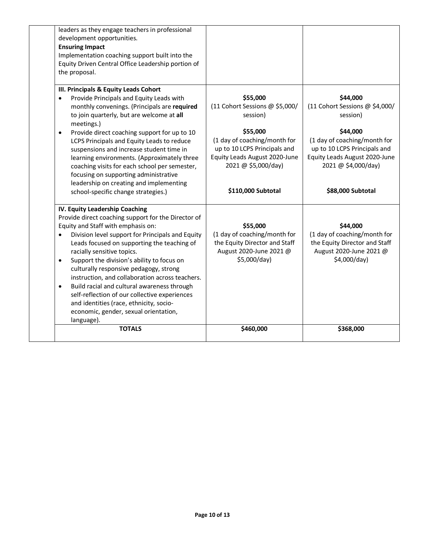| leaders as they engage teachers in professional<br>development opportunities.<br><b>Ensuring Impact</b><br>Implementation coaching support built into the<br>Equity Driven Central Office Leadership portion of<br>the proposal.                                                                                                                                                                                                                                                                                                                                                                                                                 |                                                                                                                                  |                                                                                                                                  |
|--------------------------------------------------------------------------------------------------------------------------------------------------------------------------------------------------------------------------------------------------------------------------------------------------------------------------------------------------------------------------------------------------------------------------------------------------------------------------------------------------------------------------------------------------------------------------------------------------------------------------------------------------|----------------------------------------------------------------------------------------------------------------------------------|----------------------------------------------------------------------------------------------------------------------------------|
| III. Principals & Equity Leads Cohort<br>Provide Principals and Equity Leads with<br>$\bullet$                                                                                                                                                                                                                                                                                                                                                                                                                                                                                                                                                   | \$55,000                                                                                                                         | \$44,000                                                                                                                         |
| monthly convenings. (Principals are required<br>to join quarterly, but are welcome at all<br>meetings.)                                                                                                                                                                                                                                                                                                                                                                                                                                                                                                                                          | (11 Cohort Sessions @ \$5,000/<br>session)                                                                                       | (11 Cohort Sessions @ \$4,000/<br>session)                                                                                       |
| Provide direct coaching support for up to 10<br>$\bullet$<br>LCPS Principals and Equity Leads to reduce<br>suspensions and increase student time in<br>learning environments. (Approximately three<br>coaching visits for each school per semester,<br>focusing on supporting administrative                                                                                                                                                                                                                                                                                                                                                     | \$55,000<br>(1 day of coaching/month for<br>up to 10 LCPS Principals and<br>Equity Leads August 2020-June<br>2021 @ \$5,000/day) | \$44,000<br>(1 day of coaching/month for<br>up to 10 LCPS Principals and<br>Equity Leads August 2020-June<br>2021 @ \$4,000/day) |
| leadership on creating and implementing<br>school-specific change strategies.)                                                                                                                                                                                                                                                                                                                                                                                                                                                                                                                                                                   | \$110,000 Subtotal                                                                                                               | \$88,000 Subtotal                                                                                                                |
| IV. Equity Leadership Coaching<br>Provide direct coaching support for the Director of<br>Equity and Staff with emphasis on:<br>Division level support for Principals and Equity<br>$\bullet$<br>Leads focused on supporting the teaching of<br>racially sensitive topics.<br>Support the division's ability to focus on<br>$\bullet$<br>culturally responsive pedagogy, strong<br>instruction, and collaboration across teachers.<br>Build racial and cultural awareness through<br>$\bullet$<br>self-reflection of our collective experiences<br>and identities (race, ethnicity, socio-<br>economic, gender, sexual orientation,<br>language). | \$55,000<br>(1 day of coaching/month for<br>the Equity Director and Staff<br>August 2020-June 2021 @<br>\$5,000/day)             | \$44,000<br>(1 day of coaching/month for<br>the Equity Director and Staff<br>August 2020-June 2021 @<br>\$4,000/day)             |
| <b>TOTALS</b>                                                                                                                                                                                                                                                                                                                                                                                                                                                                                                                                                                                                                                    | \$460,000                                                                                                                        | \$368,000                                                                                                                        |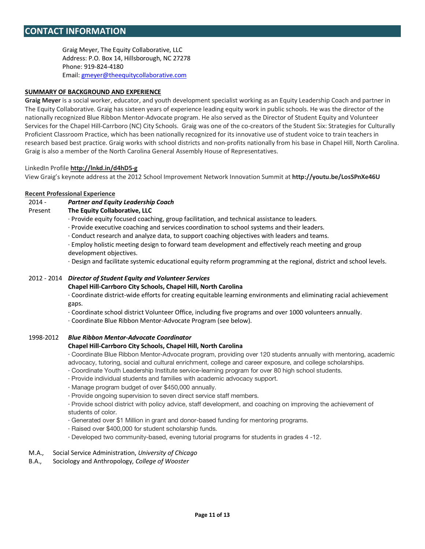Graig Meyer, The Equity Collaborative, LLC Address: P.O. Box 14, Hillsborough, NC 27278 Phone: 919-824-4180 Email: gmeyer@theequitycollaborative.com

#### **SUMMARY OF BACKGROUND AND EXPERIENCE**

**Graig Meyer** is a social worker, educator, and youth development specialist working as an Equity Leadership Coach and partner in The Equity Collaborative. Graig has sixteen years of experience leading equity work in public schools. He was the director of the nationally recognized Blue Ribbon Mentor-Advocate program. He also served as the Director of Student Equity and Volunteer Services for the Chapel Hill-Carrboro (NC) City Schools. Graig was one of the co-creators of the Student Six: Strategies for Culturally Proficient Classroom Practice, which has been nationally recognized for its innovative use of student voice to train teachers in research based best practice. Graig works with school districts and non-profits nationally from his base in Chapel Hill, North Carolina. Graig is also a member of the North Carolina General Assembly House of Representatives.

#### LinkedIn Profile **http://lnkd.in/d4hD5-g**

View Graig's keynote address at the 2012 School Improvement Network Innovation Summit at **http://youtu.be/LosSPnXe46U**

#### **Recent Professional Experience**

#### 2014 - *Partner and Equity Leadership Coach*

#### Present **The Equity Collaborative, LLC**

· Provide equity focused coaching, group facilitation, and technical assistance to leaders.

· Provide executive coaching and services coordination to school systems and their leaders.

· Conduct research and analyze data, to support coaching objectives with leaders and teams.

· Employ holistic meeting design to forward team development and effectively reach meeting and group development objectives.

· Design and facilitate systemic educational equity reform programming at the regional, district and school levels.

#### 2012 - 2014 *Director of Student Equity and Volunteer Services*

#### **Chapel Hill-Carrboro City Schools, Chapel Hill, North Carolina**

· Coordinate district-wide efforts for creating equitable learning environments and eliminating racial achievement gaps.

· Coordinate school district Volunteer Office, including five programs and over 1000 volunteers annually.

· Coordinate Blue Ribbon Mentor-Advocate Program (see below).

#### 1998-2012 *Blue Ribbon Mentor-Advocate Coordinator*

#### **Chapel Hill-Carrboro City Schools, Chapel Hill, North Carolina**

· Coordinate Blue Ribbon Mentor-Advocate program, providing over 120 students annually with mentoring, academic advocacy, tutoring, social and cultural enrichment, college and career exposure, and college scholarships.

- · Coordinate Youth Leadership Institute service-learning program for over 80 high school students.
- · Provide individual students and families with academic advocacy support.
- · Manage program budget of over \$450,000 annually.
- · Provide ongoing supervision to seven direct service staff members.

· Provide school district with policy advice, staff development, and coaching on improving the achievement of students of color.

- · Generated over \$1 Million in grant and donor-based funding for mentoring programs.
- · Raised over \$400,000 for student scholarship funds.
- · Developed two community-based, evening tutorial programs for students in grades 4 -12.

#### M.A., Social Service Administration, *University of Chicago*

B.A., Sociology and Anthropology, *College of Wooster*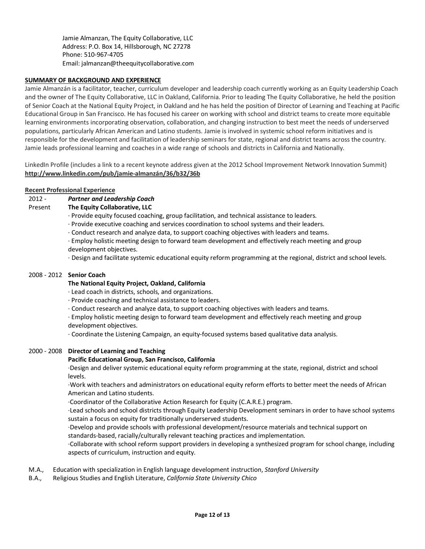Jamie Almanzan, The Equity Collaborative, LLC Address: P.O. Box 14, Hillsborough, NC 27278 Phone: 510-967-4705 Email: jalmanzan@theequitycollaborative.com

#### **SUMMARY OF BACKGROUND AND EXPERIENCE**

Jamie Almanzán is a facilitator, teacher, curriculum developer and leadership coach currently working as an Equity Leadership Coach and the owner of The Equity Collaborative, LLC in Oakland, California. Prior to leading The Equity Collaborative, he held the position of Senior Coach at the National Equity Project, in Oakland and he has held the position of Director of Learning and Teaching at Pacific Educational Group in San Francisco. He has focused his career on working with school and district teams to create more equitable learning environments incorporating observation, collaboration, and changing instruction to best meet the needs of underserved populations, particularly African American and Latino students. Jamie is involved in systemic school reform initiatives and is responsible for the development and facilitation of leadership seminars for state, regional and district teams across the country. Jamie leads professional learning and coaches in a wide range of schools and districts in California and Nationally.

LinkedIn Profile (includes a link to a recent keynote address given at the 2012 School Improvement Network Innovation Summit) **http://www.linkedin.com/pub/jamie-almanzán/36/b32/36b**

#### **Recent Professional Experience**

- 2012 *Partner and Leadership Coach*
- Present **The Equity Collaborative, LLC**
	- · Provide equity focused coaching, group facilitation, and technical assistance to leaders.
	- · Provide executive coaching and services coordination to school systems and their leaders.
	- · Conduct research and analyze data, to support coaching objectives with leaders and teams.
	- · Employ holistic meeting design to forward team development and effectively reach meeting and group development objectives.
	- · Design and facilitate systemic educational equity reform programming at the regional, district and school levels.

#### 2008 - 2012 **Senior Coach**

#### **The National Equity Project, Oakland, California**

- · Lead coach in districts, schools, and organizations.
- · Provide coaching and technical assistance to leaders.
- · Conduct research and analyze data, to support coaching objectives with leaders and teams.
- · Employ holistic meeting design to forward team development and effectively reach meeting and group development objectives.
- · Coordinate the Listening Campaign, an equity-focused systems based qualitative data analysis.

#### 2000 - 2008 **Director of Learning and Teaching**

#### **Pacific Educational Group, San Francisco, California**

·Design and deliver systemic educational equity reform programming at the state, regional, district and school levels.

·Work with teachers and administrators on educational equity reform efforts to better meet the needs of African American and Latino students.

·Coordinator of the Collaborative Action Research for Equity (C.A.R.E.) program.

·Lead schools and school districts through Equity Leadership Development seminars in order to have school systems sustain a focus on equity for traditionally underserved students.

·Develop and provide schools with professional development/resource materials and technical support on standards-based, racially/culturally relevant teaching practices and implementation.

·Collaborate with school reform support providers in developing a synthesized program for school change, including aspects of curriculum, instruction and equity.

- M.A., Education with specialization in English language development instruction, *Stanford University*
- B.A., Religious Studies and English Literature, *California State University Chico*